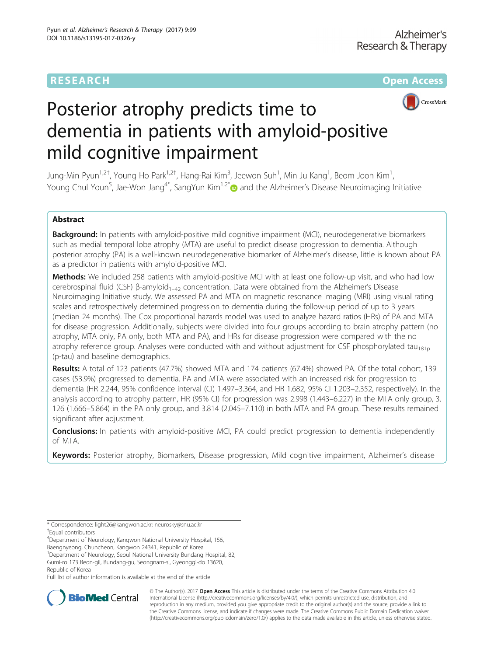# **RESEARCH CHE Open Access**



# Posterior atrophy predicts time to dementia in patients with amyloid-positive mild cognitive impairment

Jung-Min Pyun $^{1,2^+}$ , Young Ho Park $^{1,2^+}$ , Hang-Rai Kim $^3$ , Jeewon Suh $^1$ , Min Ju Kang $^1$ , Beom Joon Kim $^1$ , Young Chul Youn<sup>5</sup>, Jae-Won Jang<sup>4\*</sup>, SangYun Kim<sup>1,2\*</sup> and the Alzheimer's Disease Neuroimaging Initiative

## Abstract

Background: In patients with amyloid-positive mild cognitive impairment (MCI), neurodegenerative biomarkers such as medial temporal lobe atrophy (MTA) are useful to predict disease progression to dementia. Although posterior atrophy (PA) is a well-known neurodegenerative biomarker of Alzheimer's disease, little is known about PA as a predictor in patients with amyloid-positive MCI.

**Methods:** We included 258 patients with amyloid-positive MCI with at least one follow-up visit, and who had low cerebrospinal fluid (CSF) β-amyloid<sub>1–42</sub> concentration. Data were obtained from the Alzheimer's Disease Neuroimaging Initiative study. We assessed PA and MTA on magnetic resonance imaging (MRI) using visual rating scales and retrospectively determined progression to dementia during the follow-up period of up to 3 years (median 24 months). The Cox proportional hazards model was used to analyze hazard ratios (HRs) of PA and MTA for disease progression. Additionally, subjects were divided into four groups according to brain atrophy pattern (no atrophy, MTA only, PA only, both MTA and PA), and HRs for disease progression were compared with the no atrophy reference group. Analyses were conducted with and without adjustment for CSF phosphorylated tau<sub>181p</sub> (p-tau) and baseline demographics.

Results: A total of 123 patients (47.7%) showed MTA and 174 patients (67.4%) showed PA. Of the total cohort, 139 cases (53.9%) progressed to dementia. PA and MTA were associated with an increased risk for progression to dementia (HR 2.244, 95% confidence interval (CI) 1.497–3.364, and HR 1.682, 95% CI 1.203–2.352, respectively). In the analysis according to atrophy pattern, HR (95% CI) for progression was 2.998 (1.443–6.227) in the MTA only group, 3. 126 (1.666–5.864) in the PA only group, and 3.814 (2.045–7.110) in both MTA and PA group. These results remained significant after adjustment.

**Conclusions:** In patients with amyloid-positive MCI, PA could predict progression to dementia independently of MTA.

Keywords: Posterior atrophy, Biomarkers, Disease progression, Mild cognitive impairment, Alzheimer's disease

4 Department of Neurology, Kangwon National University Hospital, 156,

<sup>1</sup>Department of Neurology, Seoul National University Bundang Hospital, 82,

Republic of Korea

Full list of author information is available at the end of the article



© The Author(s). 2017 **Open Access** This article is distributed under the terms of the Creative Commons Attribution 4.0 International License [\(http://creativecommons.org/licenses/by/4.0/](http://creativecommons.org/licenses/by/4.0/)), which permits unrestricted use, distribution, and reproduction in any medium, provided you give appropriate credit to the original author(s) and the source, provide a link to the Creative Commons license, and indicate if changes were made. The Creative Commons Public Domain Dedication waiver [\(http://creativecommons.org/publicdomain/zero/1.0/](http://creativecommons.org/publicdomain/zero/1.0/)) applies to the data made available in this article, unless otherwise stated.

<sup>\*</sup> Correspondence: [light26@kangwon.ac.kr;](mailto:light26@kangwon.ac.kr) [neurosky@snu.ac.kr](mailto:neurosky@snu.ac.kr) † Equal contributors

Baengnyeong, Chuncheon, Kangwon 24341, Republic of Korea

Gumi-ro 173 Beon-gil, Bundang-gu, Seongnam-si, Gyeonggi-do 13620,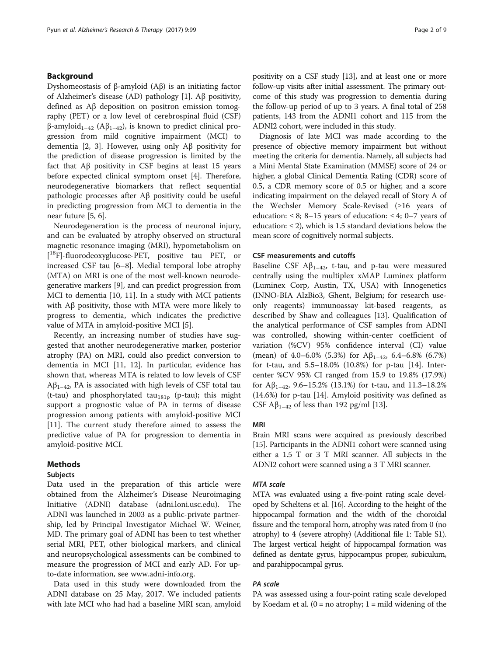### Background

Dyshomeostasis of β-amyloid (Aβ) is an initiating factor of Alzheimer's disease (AD) pathology [\[1\]](#page-7-0). Aβ positivity, defined as Aβ deposition on positron emission tomography (PET) or a low level of cerebrospinal fluid (CSF) β-amyloid<sub>1–42</sub> (Aβ<sub>1–42</sub>), is known to predict clinical progression from mild cognitive impairment (MCI) to dementia [\[2](#page-7-0), [3\]](#page-7-0). However, using only Aβ positivity for the prediction of disease progression is limited by the fact that  $\mathbf{A}\mathbf{\beta}$  positivity in CSF begins at least 15 years before expected clinical symptom onset [\[4](#page-7-0)]. Therefore, neurodegenerative biomarkers that reflect sequential pathologic processes after Aβ positivity could be useful in predicting progression from MCI to dementia in the near future [\[5](#page-7-0), [6](#page-7-0)].

Neurodegeneration is the process of neuronal injury, and can be evaluated by atrophy observed on structural magnetic resonance imaging (MRI), hypometabolism on [ 18F]-fluorodeoxyglucose-PET, positive tau PET, or increased CSF tau [[6](#page-7-0)–[8\]](#page-7-0). Medial temporal lobe atrophy (MTA) on MRI is one of the most well-known neurodegenerative markers [\[9](#page-7-0)], and can predict progression from MCI to dementia [\[10, 11](#page-7-0)]. In a study with MCI patients with Aβ positivity, those with MTA were more likely to progress to dementia, which indicates the predictive value of MTA in amyloid-positive MCI [[5\]](#page-7-0).

Recently, an increasing number of studies have suggested that another neurodegenerative marker, posterior atrophy (PA) on MRI, could also predict conversion to dementia in MCI [[11, 12\]](#page-7-0). In particular, evidence has shown that, whereas MTA is related to low levels of CSF  $Aβ<sub>1–42</sub>$ , PA is associated with high levels of CSF total tau (t-tau) and phosphorylated tau<sub>181p</sub> (p-tau); this might support a prognostic value of PA in terms of disease progression among patients with amyloid-positive MCI [[11\]](#page-7-0). The current study therefore aimed to assess the predictive value of PA for progression to dementia in amyloid-positive MCI.

#### Methods

### Subjects

Data used in the preparation of this article were obtained from the Alzheimer's Disease Neuroimaging Initiative (ADNI) database (adni.loni.usc.edu). The ADNI was launched in 2003 as a public-private partnership, led by Principal Investigator Michael W. Weiner, MD. The primary goal of ADNI has been to test whether serial MRI, PET, other biological markers, and clinical and neuropsychological assessments can be combined to measure the progression of MCI and early AD. For upto-date information, see [www.adni-info.org](http://www.adni-info.org/).

Data used in this study were downloaded from the ADNI database on 25 May, 2017. We included patients with late MCI who had had a baseline MRI scan, amyloid positivity on a CSF study [[13\]](#page-7-0), and at least one or more follow-up visits after initial assessment. The primary outcome of this study was progression to dementia during the follow-up period of up to 3 years. A final total of 258 patients, 143 from the ADNI1 cohort and 115 from the ADNI2 cohort, were included in this study.

Diagnosis of late MCI was made according to the presence of objective memory impairment but without meeting the criteria for dementia. Namely, all subjects had a Mini Mental State Examination (MMSE) score of 24 or higher, a global Clinical Dementia Rating (CDR) score of 0.5, a CDR memory score of 0.5 or higher, and a score indicating impairment on the delayed recall of Story A of the Wechsler Memory Scale-Revised (≥16 years of education:  $\leq 8$ ; 8–15 years of education:  $\leq 4$ ; 0–7 years of education:  $\leq$  2), which is 1.5 standard deviations below the mean score of cognitively normal subjects.

#### CSF measurements and cutoffs

Baseline CSF  $A\beta_{1-42}$ , t-tau, and p-tau were measured centrally using the multiplex xMAP Luminex platform (Luminex Corp, Austin, TX, USA) with Innogenetics (INNO-BIA AlzBio3, Ghent, Belgium; for research useonly reagents) immunoassay kit-based reagents, as described by Shaw and colleagues [\[13](#page-7-0)]. Qualification of the analytical performance of CSF samples from ADNI was controlled, showing within-center coefficient of variation (%CV) 95% confidence interval (CI) value (mean) of 4.0–6.0% (5.3%) for  $A\beta_{1-42}$ , 6.4–6.8% (6.7%) for t-tau, and 5.5–18.0% (10.8%) for p-tau [\[14](#page-7-0)]. Intercenter %CV 95% CI ranged from 15.9 to 19.8% (17.9%) for  $\mathbb{A}\beta_{1-42}$ , 9.6–15.2% (13.1%) for t-tau, and 11.3–18.2% (14.6%) for p-tau [\[14](#page-7-0)]. Amyloid positivity was defined as CSF  $\mathsf{A}\beta_{1-42}$  of less than 192 pg/ml [\[13\]](#page-7-0).

#### MRI

Brain MRI scans were acquired as previously described [[15](#page-7-0)]. Participants in the ADNI1 cohort were scanned using either a 1.5 T or 3 T MRI scanner. All subjects in the ADNI2 cohort were scanned using a 3 T MRI scanner.

MTA was evaluated using a five-point rating scale developed by Scheltens et al. [\[16\]](#page-7-0). According to the height of the hippocampal formation and the width of the choroidal fissure and the temporal horn, atrophy was rated from 0 (no atrophy) to 4 (severe atrophy) (Additional file [1](#page-6-0): Table S1). The largest vertical height of hippocampal formation was defined as dentate gyrus, hippocampus proper, subiculum, and parahippocampal gyrus.

PA was assessed using a four-point rating scale developed by Koedam et al.  $(0 = no \, \text{atrophy}; 1 = mild \, \text{widening} \, \text{of} \, \text{the} \,$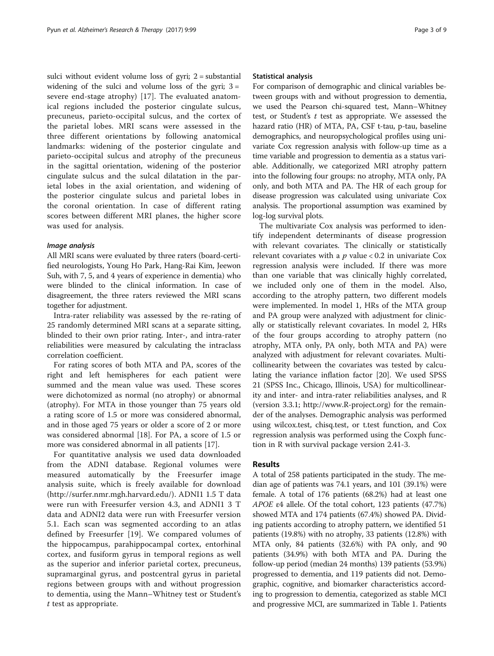sulci without evident volume loss of gyri; 2 = substantial widening of the sulci and volume loss of the gyri;  $3 =$ severe end-stage atrophy) [[17\]](#page-7-0). The evaluated anatomical regions included the posterior cingulate sulcus, precuneus, parieto-occipital sulcus, and the cortex of the parietal lobes. MRI scans were assessed in the three different orientations by following anatomical landmarks: widening of the posterior cingulate and parieto-occipital sulcus and atrophy of the precuneus in the sagittal orientation, widening of the posterior cingulate sulcus and the sulcal dilatation in the parietal lobes in the axial orientation, and widening of the posterior cingulate sulcus and parietal lobes in the coronal orientation. In case of different rating scores between different MRI planes, the higher score was used for analysis.

All MRI scans were evaluated by three raters (board-certified neurologists, Young Ho Park, Hang-Rai Kim, Jeewon Suh, with 7, 5, and 4 years of experience in dementia) who were blinded to the clinical information. In case of disagreement, the three raters reviewed the MRI scans together for adjustment.

Intra-rater reliability was assessed by the re-rating of 25 randomly determined MRI scans at a separate sitting, blinded to their own prior rating. Inter-, and intra-rater reliabilities were measured by calculating the intraclass correlation coefficient.

For rating scores of both MTA and PA, scores of the right and left hemispheres for each patient were summed and the mean value was used. These scores were dichotomized as normal (no atrophy) or abnormal (atrophy). For MTA in those younger than 75 years old a rating score of 1.5 or more was considered abnormal, and in those aged 75 years or older a score of 2 or more was considered abnormal [\[18](#page-7-0)]. For PA, a score of 1.5 or more was considered abnormal in all patients [[17](#page-7-0)].

For quantitative analysis we used data downloaded from the ADNI database. Regional volumes were measured automatically by the Freesurfer image analysis suite, which is freely available for download ([http://surfer.nmr.mgh.harvard.edu/\)](http://surfer.nmr.mgh.harvard.edu/). ADNI1 1.5 T data were run with Freesurfer version 4.3, and ADNI1 3 T data and ADNI2 data were run with Freesurfer version 5.1. Each scan was segmented according to an atlas defined by Freesurfer [\[19](#page-7-0)]. We compared volumes of the hippocampus, parahippocampal cortex, entorhinal cortex, and fusiform gyrus in temporal regions as well as the superior and inferior parietal cortex, precuneus, supramarginal gyrus, and postcentral gyrus in parietal regions between groups with and without progression to dementia, using the Mann–Whitney test or Student's t test as appropriate.

#### Statistical analysis

For comparison of demographic and clinical variables between groups with and without progression to dementia, we used the Pearson chi-squared test, Mann–Whitney test, or Student's  $t$  test as appropriate. We assessed the hazard ratio (HR) of MTA, PA, CSF t-tau, p-tau, baseline demographics, and neuropsychological profiles using univariate Cox regression analysis with follow-up time as a time variable and progression to dementia as a status variable. Additionally, we categorized MRI atrophy pattern into the following four groups: no atrophy, MTA only, PA only, and both MTA and PA. The HR of each group for disease progression was calculated using univariate Cox analysis. The proportional assumption was examined by log-log survival plots.

The multivariate Cox analysis was performed to identify independent determinants of disease progression with relevant covariates. The clinically or statistically relevant covariates with a  $p$  value < 0.2 in univariate Cox regression analysis were included. If there was more than one variable that was clinically highly correlated, we included only one of them in the model. Also, according to the atrophy pattern, two different models were implemented. In model 1, HRs of the MTA group and PA group were analyzed with adjustment for clinically or statistically relevant covariates. In model 2, HRs of the four groups according to atrophy pattern (no atrophy, MTA only, PA only, both MTA and PA) were analyzed with adjustment for relevant covariates. Multicollinearity between the covariates was tested by calculating the variance inflation factor [[20\]](#page-7-0). We used SPSS 21 (SPSS Inc., Chicago, Illinois, USA) for multicollinearity and inter- and intra-rater reliabilities analyses, and R (version 3.3.1; [http://www.R-project.org](http://www.r-project.org/)) for the remainder of the analyses. Demographic analysis was performed using wilcox.test, chisq.test, or t.test function, and Cox regression analysis was performed using the Coxph function in R with survival package version 2.41-3.

#### Results

A total of 258 patients participated in the study. The median age of patients was 74.1 years, and 101 (39.1%) were female. A total of 176 patients (68.2%) had at least one APOE ε4 allele. Of the total cohort, 123 patients (47.7%) showed MTA and 174 patients (67.4%) showed PA. Dividing patients according to atrophy pattern, we identified 51 patients (19.8%) with no atrophy, 33 patients (12.8%) with MTA only, 84 patients (32.6%) with PA only, and 90 patients (34.9%) with both MTA and PA. During the follow-up period (median 24 months) 139 patients (53.9%) progressed to dementia, and 119 patients did not. Demographic, cognitive, and biomarker characteristics according to progression to dementia, categorized as stable MCI and progressive MCI, are summarized in Table [1.](#page-3-0) Patients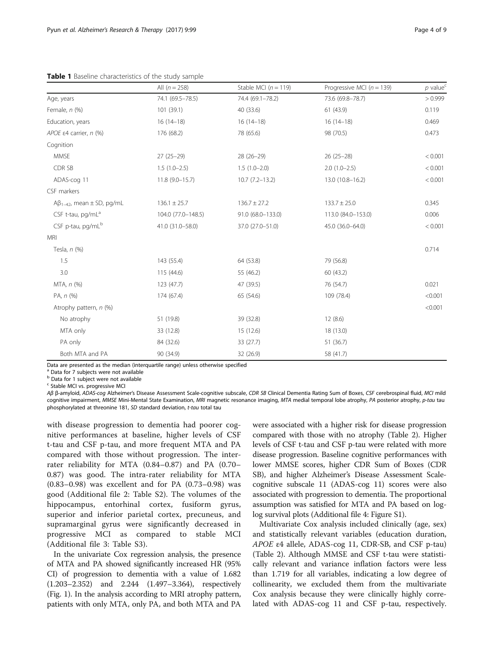<span id="page-3-0"></span>

|                                        | All $(n = 258)$    | Stable MCI ( $n = 119$ ) | Progressive MCI ( $n = 139$ ) | $p$ value <sup>c</sup> |
|----------------------------------------|--------------------|--------------------------|-------------------------------|------------------------|
| Age, years                             | 74.1 (69.5-78.5)   | 74.4 (69.1-78.2)         | 73.6 (69.8-78.7)              | > 0.999                |
| Female, $n$ (%)                        | 101(39.1)          | 40 (33.6)                | 61(43.9)                      | 0.119                  |
| Education, years                       | $16(14-18)$        | $16(14-18)$              | $16(14-18)$                   | 0.469                  |
| APOE $\epsilon$ 4 carrier, n (%)       | 176 (68.2)         | 78 (65.6)                | 98 (70.5)                     | 0.473                  |
| Cognition                              |                    |                          |                               |                        |
| <b>MMSE</b>                            | $27(25-29)$        | $28(26-29)$              | $26(25-28)$                   | < 0.001                |
| CDR SB                                 | $1.5(1.0-2.5)$     | $1.5(1.0-2.0)$           | $2.0(1.0-2.5)$                | < 0.001                |
| ADAS-cog 11                            | $11.8(9.0-15.7)$   | $10.7(7.2 - 13.2)$       | 13.0 (10.8-16.2)              | < 0.001                |
| CSF markers                            |                    |                          |                               |                        |
| $A\beta_{1-42}$ , mean $\pm$ SD, pg/mL | $136.1 \pm 25.7$   | $136.7 \pm 27.2$         | $133.7 \pm 25.0$              | 0.345                  |
| CSF t-tau, $pq/mL^a$                   | 104.0 (77.0-148.5) | 91.0 (68.0-133.0)        | 113.0 (84.0-153.0)            | 0.006                  |
| CSF p-tau, pg/mL <sup>b</sup>          | 41.0 (31.0-58.0)   | 37.0 (27.0-51.0)         | 45.0 (36.0-64.0)              | < 0.001                |
| <b>MRI</b>                             |                    |                          |                               |                        |
| Tesla, $n$ $(\%)$                      |                    |                          |                               | 0.714                  |
| 1.5                                    | 143 (55.4)         | 64 (53.8)                | 79 (56.8)                     |                        |
| 3.0                                    | 115 (44.6)         | 55 (46.2)                | 60 (43.2)                     |                        |
| MTA, n (%)                             | 123(47.7)          | 47 (39.5)                | 76 (54.7)                     | 0.021                  |
| PA, n (%)                              | 174 (67.4)         | 65 (54.6)                | 109 (78.4)                    | < 0.001                |
| Atrophy pattern, n (%)                 |                    |                          |                               | < 0.001                |
| No atrophy                             | 51 (19.8)          | 39 (32.8)                | 12(8.6)                       |                        |
| MTA only                               | 33 (12.8)          | 15 (12.6)                | 18 (13.0)                     |                        |
| PA only                                | 84 (32.6)          | 33 (27.7)                | 51 (36.7)                     |                        |
| Both MTA and PA                        | 90 (34.9)          | 32 (26.9)                | 58 (41.7)                     |                        |

Data are presented as the median (interquartile range) unless otherwise specified

<sup>1</sup> Data for 7 subiects were not available

 $<sup>b</sup>$  Data for 1 subject were not available</sup>

<sup>c</sup> Stable MCI vs. progressive MCI

A<sup>β</sup> <sup>β</sup>-amyloid, ADAS-cog Alzheimer's Disease Assessment Scale-cognitive subscale, CDR SB Clinical Dementia Rating Sum of Boxes, CSF cerebrospinal fluid, MCI mild cognitive impairment, MMSE Mini-Mental State Examination, MRI magnetic resonance imaging, MTA medial temporal lobe atrophy, PA posterior atrophy, p-tau tau phosphorylated at threonine 181, SD standard deviation, t-tau total tau

with disease progression to dementia had poorer cognitive performances at baseline, higher levels of CSF t-tau and CSF p-tau, and more frequent MTA and PA compared with those without progression. The interrater reliability for MTA (0.84–0.87) and PA (0.70– 0.87) was good. The intra-rater reliability for MTA (0.83–0.98) was excellent and for PA (0.73–0.98) was good (Additional file [2](#page-6-0): Table S2). The volumes of the hippocampus, entorhinal cortex, fusiform gyrus, superior and inferior parietal cortex, precuneus, and supramarginal gyrus were significantly decreased in progressive MCI as compared to stable MCI (Additional file [3:](#page-6-0) Table S3).

In the univariate Cox regression analysis, the presence of MTA and PA showed significantly increased HR (95% CI) of progression to dementia with a value of 1.682 (1.203–2.352) and 2.244 (1.497–3.364), respectively (Fig. [1\)](#page-4-0). In the analysis according to MRI atrophy pattern, patients with only MTA, only PA, and both MTA and PA were associated with a higher risk for disease progression compared with those with no atrophy (Table [2](#page-4-0)). Higher levels of CSF t-tau and CSF p-tau were related with more disease progression. Baseline cognitive performances with lower MMSE scores, higher CDR Sum of Boxes (CDR SB), and higher Alzheimer's Disease Assessment Scalecognitive subscale 11 (ADAS-cog 11) scores were also associated with progression to dementia. The proportional assumption was satisfied for MTA and PA based on loglog survival plots (Additional file [4:](#page-6-0) Figure S1).

Multivariate Cox analysis included clinically (age, sex) and statistically relevant variables (education duration, APOE ε4 allele, ADAS-cog 11, CDR-SB, and CSF p-tau) (Table [2\)](#page-4-0). Although MMSE and CSF t-tau were statistically relevant and variance inflation factors were less than 1.719 for all variables, indicating a low degree of collinearity, we excluded them from the multivariate Cox analysis because they were clinically highly correlated with ADAS-cog 11 and CSF p-tau, respectively.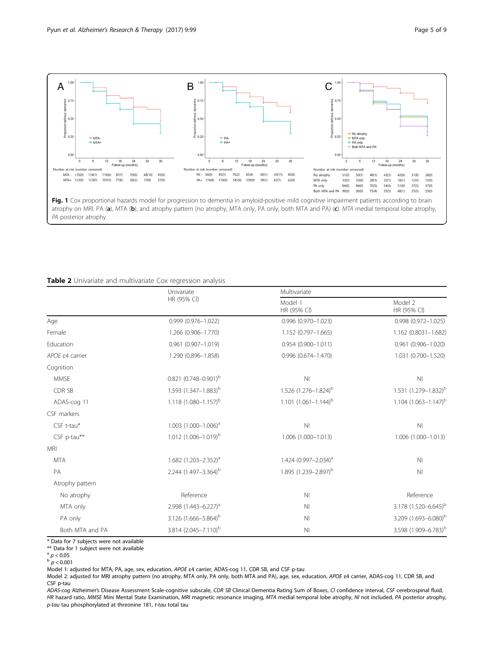<span id="page-4-0"></span>

### Table 2 Univariate and multivariate Cox regression analysis

|                           | Univariate                         | Multivariate                     |                                  |  |
|---------------------------|------------------------------------|----------------------------------|----------------------------------|--|
|                           | HR (95% CI)                        | Model 1<br>HR (95% CI)           | Model 2<br>HR (95% CI)           |  |
| Age                       | $0.999(0.976 - 1.022)$             | $0.996(0.970 - 1.023)$           | $0.998(0.972 - 1.025)$           |  |
| Female                    | 1.266 (0.906-1.770)                | 1.152 (0.797-1.665)              | 1.162 (0.8031-1.682)             |  |
| Education                 | 0.961 (0.907-1.019)                | $0.954(0.900 - 1.011)$           | $0.961$ $(0.906 - 1.020)$        |  |
| APOE $\epsilon$ 4 carrier | 1.290 (0.896-1.858)                | 0.996 (0.674-1.470)              | 1.031 (0.700-1.520)              |  |
| Cognition                 |                                    |                                  |                                  |  |
| <b>MMSE</b>               | $0.821$ $(0.748 - 0.901)^{b}$      | N <sub>l</sub>                   | N <sub>l</sub>                   |  |
| CDR SB                    | 1.593 (1.347-1.883) <sup>b</sup>   | $1.526$ $(1.276 - 1.824)^b$      | 1.531 (1.279-1.832) <sup>b</sup> |  |
| ADAS-cog 11               | 1.118 $(1.080 - 1.157)^{b}$        | $1.101 (1.061 - 1.144)^b$        | $1.104 (1.063 - 1.147)^{b}$      |  |
| CSF markers               |                                    |                                  |                                  |  |
| CSF t-tau*                | $1.003$ (1.000-1.006) <sup>a</sup> | N <sub>l</sub>                   | N <sub>l</sub>                   |  |
| CSF p-tau**               | 1.012 $(1.006 - 1.019)^b$          | 1.006 (1.000-1.013)              | 1.006 (1.000-1.013)              |  |
| <b>MRI</b>                |                                    |                                  |                                  |  |
| <b>MTA</b>                | 1.682 (1.203-2.352) <sup>a</sup>   | 1.424 (0.997-2.034) <sup>a</sup> | N <sub>l</sub>                   |  |
| PA                        | 2.244 (1.497-3.364) <sup>b</sup>   | 1.895 (1.239-2.897) <sup>b</sup> | N <sub>l</sub>                   |  |
| Atrophy pattern           |                                    |                                  |                                  |  |
| No atrophy                | Reference                          | N <sub>l</sub>                   | Reference                        |  |
| MTA only                  | 2.998 $(1.443 - 6.227)^a$          | N <sub>l</sub>                   | 3.178 (1.520-6.645) <sup>b</sup> |  |
| PA only                   | 3.126 (1.666-5.864) <sup>b</sup>   | N <sub>l</sub>                   | 3.209 (1.693-6.080) <sup>b</sup> |  |
| Both MTA and PA           | 3.814 (2.045-7.110) <sup>b</sup>   | N <sub>1</sub>                   | 3.598 (1.909-6.783) <sup>b</sup> |  |

\* Data for 7 subjects were not available

\*\* Data for 1 subject were not available

 $\frac{a}{p} p < 0.05$ 

 $p < 0.001$ 

Model 1: adjusted for MTA, PA, age, sex, education, APOE <sup>ε</sup>4 carrier, ADAS-cog 11, CDR SB, and CSF p-tau

Model 2: adjusted for MRI atrophy pattern (no atrophy, MTA only, PA only, both MTA and PA), age, sex, education, APOE <sup>ε</sup>4 carrier, ADAS-cog 11, CDR SB, and CSF p-tau

ADAS-cog Alzheimer's Disease Assessment Scale-cognitive subscale, CDR SB Clinical Dementia Rating Sum of Boxes, CI confidence interval, CSF cerebrospinal fluid, HR hazard ratio, MMSE Mini Mental State Examination, MRI magnetic resonance imaging, MTA medial temporal lobe atrophy, NI not included, PA posterior atrophy, p-tau tau phosphorylated at threonine 181, t-tau total tau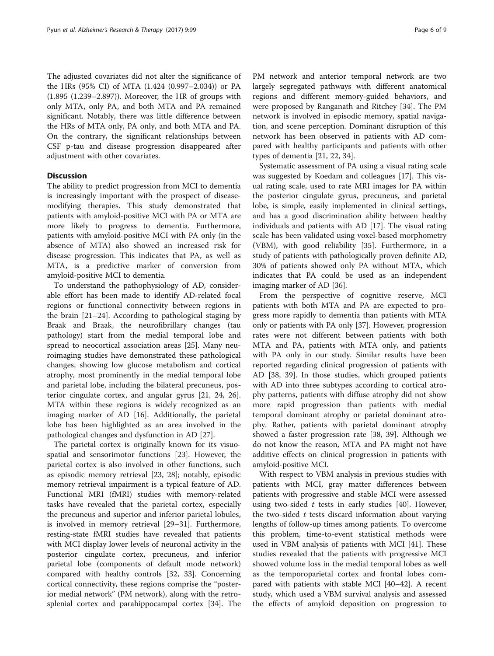The adjusted covariates did not alter the significance of the HRs (95% CI) of MTA (1.424 (0.997–2.034)) or PA (1.895 (1.239–2.897)). Moreover, the HR of groups with only MTA, only PA, and both MTA and PA remained significant. Notably, there was little difference between the HRs of MTA only, PA only, and both MTA and PA. On the contrary, the significant relationships between CSF p-tau and disease progression disappeared after adjustment with other covariates.

### **Discussion**

The ability to predict progression from MCI to dementia is increasingly important with the prospect of diseasemodifying therapies. This study demonstrated that patients with amyloid-positive MCI with PA or MTA are more likely to progress to dementia. Furthermore, patients with amyloid-positive MCI with PA only (in the absence of MTA) also showed an increased risk for disease progression. This indicates that PA, as well as MTA, is a predictive marker of conversion from amyloid-positive MCI to dementia.

To understand the pathophysiology of AD, considerable effort has been made to identify AD-related focal regions or functional connectivity between regions in the brain [[21](#page-7-0)–[24](#page-7-0)]. According to pathological staging by Braak and Braak, the neurofibrillary changes (tau pathology) start from the medial temporal lobe and spread to neocortical association areas [\[25](#page-7-0)]. Many neuroimaging studies have demonstrated these pathological changes, showing low glucose metabolism and cortical atrophy, most prominently in the medial temporal lobe and parietal lobe, including the bilateral precuneus, posterior cingulate cortex, and angular gyrus [\[21](#page-7-0), [24, 26](#page-7-0)]. MTA within these regions is widely recognized as an imaging marker of AD [\[16](#page-7-0)]. Additionally, the parietal lobe has been highlighted as an area involved in the pathological changes and dysfunction in AD [\[27\]](#page-7-0).

The parietal cortex is originally known for its visuospatial and sensorimotor functions [[23\]](#page-7-0). However, the parietal cortex is also involved in other functions, such as episodic memory retrieval [\[23](#page-7-0), [28](#page-7-0)]; notably, episodic memory retrieval impairment is a typical feature of AD. Functional MRI (fMRI) studies with memory-related tasks have revealed that the parietal cortex, especially the precuneus and superior and inferior parietal lobules, is involved in memory retrieval [[29](#page-7-0)–[31](#page-7-0)]. Furthermore, resting-state fMRI studies have revealed that patients with MCI display lower levels of neuronal activity in the posterior cingulate cortex, precuneus, and inferior parietal lobe (components of default mode network) compared with healthy controls [\[32, 33\]](#page-8-0). Concerning cortical connectivity, these regions comprise the "posterior medial network" (PM network), along with the retrosplenial cortex and parahippocampal cortex [[34\]](#page-8-0). The

PM network and anterior temporal network are two largely segregated pathways with different anatomical regions and different memory-guided behaviors, and were proposed by Ranganath and Ritchey [\[34](#page-8-0)]. The PM network is involved in episodic memory, spatial navigation, and scene perception. Dominant disruption of this network has been observed in patients with AD compared with healthy participants and patients with other types of dementia [\[21](#page-7-0), [22](#page-7-0), [34\]](#page-8-0).

Systematic assessment of PA using a visual rating scale was suggested by Koedam and colleagues [[17\]](#page-7-0). This visual rating scale, used to rate MRI images for PA within the posterior cingulate gyrus, precuneus, and parietal lobe, is simple, easily implemented in clinical settings, and has a good discrimination ability between healthy individuals and patients with AD [\[17](#page-7-0)]. The visual rating scale has been validated using voxel-based morphometry (VBM), with good reliability [[35](#page-8-0)]. Furthermore, in a study of patients with pathologically proven definite AD, 30% of patients showed only PA without MTA, which indicates that PA could be used as an independent imaging marker of AD [\[36](#page-8-0)].

From the perspective of cognitive reserve, MCI patients with both MTA and PA are expected to progress more rapidly to dementia than patients with MTA only or patients with PA only [[37\]](#page-8-0). However, progression rates were not different between patients with both MTA and PA, patients with MTA only, and patients with PA only in our study. Similar results have been reported regarding clinical progression of patients with AD [[38, 39](#page-8-0)]. In those studies, which grouped patients with AD into three subtypes according to cortical atrophy patterns, patients with diffuse atrophy did not show more rapid progression than patients with medial temporal dominant atrophy or parietal dominant atrophy. Rather, patients with parietal dominant atrophy showed a faster progression rate [\[38](#page-8-0), [39](#page-8-0)]. Although we do not know the reason, MTA and PA might not have additive effects on clinical progression in patients with amyloid-positive MCI.

With respect to VBM analysis in previous studies with patients with MCI, gray matter differences between patients with progressive and stable MCI were assessed using two-sided  $t$  tests in early studies [[40](#page-8-0)]. However, the two-sided  $t$  tests discard information about varying lengths of follow-up times among patients. To overcome this problem, time-to-event statistical methods were used in VBM analysis of patients with MCI [\[41](#page-8-0)]. These studies revealed that the patients with progressive MCI showed volume loss in the medial temporal lobes as well as the temporoparietal cortex and frontal lobes compared with patients with stable MCI [[40](#page-8-0)–[42](#page-8-0)]. A recent study, which used a VBM survival analysis and assessed the effects of amyloid deposition on progression to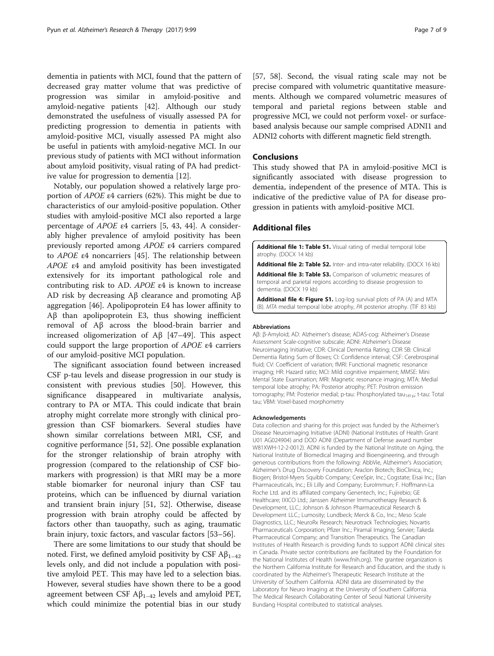<span id="page-6-0"></span>dementia in patients with MCI, found that the pattern of decreased gray matter volume that was predictive of progression was similar in amyloid-positive and amyloid-negative patients [\[42](#page-8-0)]. Although our study demonstrated the usefulness of visually assessed PA for predicting progression to dementia in patients with amyloid-positive MCI, visually assessed PA might also be useful in patients with amyloid-negative MCI. In our previous study of patients with MCI without information about amyloid positivity, visual rating of PA had predictive value for progression to dementia [\[12](#page-7-0)].

Notably, our population showed a relatively large proportion of APOE ε4 carriers (62%). This might be due to characteristics of our amyloid-positive population. Other studies with amyloid-positive MCI also reported a large percentage of APOE ε4 carriers [[5,](#page-7-0) [43, 44\]](#page-8-0). A considerably higher prevalence of amyloid positivity has been previously reported among APOE ε4 carriers compared to APOE ε4 noncarriers [[45\]](#page-8-0). The relationship between APOE ε4 and amyloid positivity has been investigated extensively for its important pathological role and contributing risk to AD. APOE ε4 is known to increase AD risk by decreasing Aβ clearance and promoting Aβ aggregation [\[46](#page-8-0)]. Apolipoprotein E4 has lower affinity to Aβ than apolipoprotein E3, thus showing inefficient removal of Aβ across the blood-brain barrier and increased oligomerization of Aβ [[47](#page-8-0)–[49](#page-8-0)]. This aspect could support the large proportion of APOE ε4 carriers of our amyloid-positive MCI population.

The significant association found between increased CSF p-tau levels and disease progression in our study is consistent with previous studies [[50\]](#page-8-0). However, this significance disappeared in multivariate analysis, contrary to PA or MTA. This could indicate that brain atrophy might correlate more strongly with clinical progression than CSF biomarkers. Several studies have shown similar correlations between MRI, CSF, and cognitive performance [\[51](#page-8-0), [52\]](#page-8-0). One possible explanation for the stronger relationship of brain atrophy with progression (compared to the relationship of CSF biomarkers with progression) is that MRI may be a more stable biomarker for neuronal injury than CSF tau proteins, which can be influenced by diurnal variation and transient brain injury [[51, 52\]](#page-8-0). Otherwise, disease progression with brain atrophy could be affected by factors other than tauopathy, such as aging, traumatic brain injury, toxic factors, and vascular factors [[53](#page-8-0)–[56\]](#page-8-0).

There are some limitations to our study that should be noted. First, we defined amyloid positivity by CSF  $A\beta_{1-42}$ levels only, and did not include a population with positive amyloid PET. This may have led to a selection bias. However, several studies have shown there to be a good agreement between CSF  $A\beta_{1-42}$  levels and amyloid PET, which could minimize the potential bias in our study [[57, 58](#page-8-0)]. Second, the visual rating scale may not be precise compared with volumetric quantitative measurements. Although we compared volumetric measures of temporal and parietal regions between stable and progressive MCI, we could not perform voxel- or surfacebased analysis because our sample comprised ADNI1 and ADNI2 cohorts with different magnetic field strength.

#### **Conclusions**

This study showed that PA in amyloid-positive MCI is significantly associated with disease progression to dementia, independent of the presence of MTA. This is indicative of the predictive value of PA for disease progression in patients with amyloid-positive MCI.

#### Additional files

[Additional file 1: Table S1.](dx.doi.org/10.1186/s13195-017-0326-y) Visual rating of medial temporal lobe atrophy. (DOCX 14 kb)

[Additional file 2: Table S2.](dx.doi.org/10.1186/s13195-017-0326-y) Inter- and intra-rater reliability. (DOCX 16 kb)

[Additional file 3: Table S3.](dx.doi.org/10.1186/s13195-017-0326-y) Comparison of volumetric measures of temporal and parietal regions according to disease progression to dementia. (DOCX 19 kb)

[Additional file 4: Figure S1.](dx.doi.org/10.1186/s13195-017-0326-y) Log-log survival plots of PA (A) and MTA (B). MTA medial temporal lobe atrophy, PA posterior atrophy. (TIF 83 kb)

#### Abbreviations

Aβ: β-Amyloid; AD: Alzheimer's disease; ADAS-cog: Alzheimer's Disease Assessment Scale-cognitive subscale; ADNI: Alzheimer's Disease Neuroimaging Initiative; CDR: Clinical Dementia Rating; CDR SB: Clinical Dementia Rating Sum of Boxes; CI: Confidence interval; CSF: Cerebrospinal fluid; CV: Coefficient of variation; fMRI: Functional magnetic resonance imaging; HR: Hazard ratio; MCI: Mild cognitive impairment; MMSE: Mini Mental State Examination; MRI: Magnetic resonance imaging; MTA: Medial temporal lobe atrophy; PA: Posterior atrophy; PET: Positron emission tomography; PM: Posterior medial; p-tau: Phosphorylated tau<sub>181p</sub>; t-tau: Total tau; VBM: Voxel-based morphometry

#### Acknowledgements

Data collection and sharing for this project was funded by the Alzheimer's Disease Neuroimaging Initiative (ADNI) (National Institutes of Health Grant U01 AG024904) and DOD ADNI (Department of Defense award number W81XWH-12-2-0012). ADNI is funded by the National Institute on Aging, the National Institute of Biomedical Imaging and Bioengineering, and through generous contributions from the following: AbbVie, Alzheimer's Association; Alzheimer's Drug Discovery Foundation; Araclon Biotech; BioClinica, Inc.; Biogen; Bristol-Myers Squibb Company; CereSpir, Inc.; Cogstate; Eisai Inc.; Elan Pharmaceuticals, Inc.; Eli Lilly and Company; EuroImmun; F. Hoffmann-La Roche Ltd. and its affiliated company Genentech, Inc.; Fujirebio; GE Healthcare; IXICO Ltd.; Janssen Alzheimer Immunotherapy Research & Development, LLC.; Johnson & Johnson Pharmaceutical Research & Development LLC.; Lumosity; Lundbeck; Merck & Co., Inc.; Meso Scale Diagnostics, LLC.; NeuroRx Research; Neurotrack Technologies; Novartis Pharmaceuticals Corporation; Pfizer Inc.; Piramal Imaging; Servier; Takeda Pharmaceutical Company; and Transition Therapeutics. The Canadian Institutes of Health Research is providing funds to support ADNI clinical sites in Canada. Private sector contributions are facilitated by the Foundation for the National Institutes of Health ([www.fnih.org](http://www.fnih.org/)). The grantee organization is the Northern California Institute for Research and Education, and the study is coordinated by the Alzheimer's Therapeutic Research Institute at the University of Southern California. ADNI data are disseminated by the Laboratory for Neuro Imaging at the University of Southern California. The Medical Research Collaborating Center of Seoul National University Bundang Hospital contributed to statistical analyses.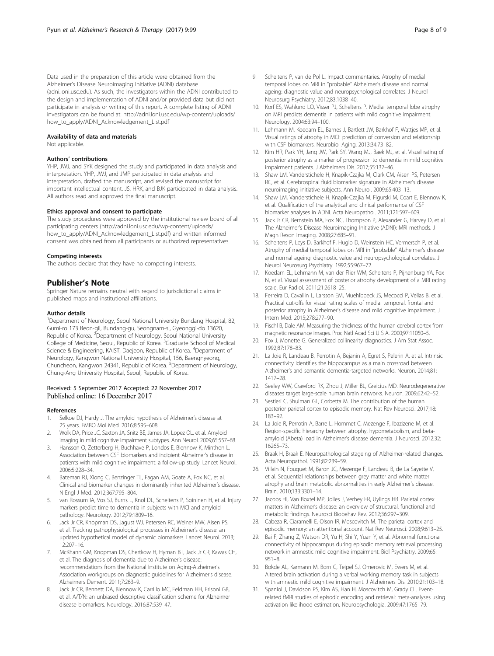<span id="page-7-0"></span>Data used in the preparation of this article were obtained from the Alzheimer's Disease Neuroimaging Initiative (ADNI) database (adni.loni.usc.edu). As such, the investigators within the ADNI contributed to the design and implementation of ADNI and/or provided data but did not participate in analysis or writing of this report. A complete listing of ADNI investigators can be found at: [http://adni.loni.usc.edu/wp-content/uploads/](http://adni.loni.usc.edu/wp-content/uploads/how_to_apply/ADNI_Acknowledgement_List.pdf) [how\\_to\\_apply/ADNI\\_Acknowledgement\\_List.pdf](http://adni.loni.usc.edu/wp-content/uploads/how_to_apply/ADNI_Acknowledgement_List.pdf)

#### Availability of data and materials

Not applicable.

#### Authors' contributions

YHP, JWJ, and SYK designed the study and participated in data analysis and interpretation. YHP, JWJ, and JMP participated in data analysis and interpretation, drafted the manuscript, and revised the manuscript for important intellectual content. JS, HRK, and BJK participated in data analysis. All authors read and approved the final manuscript.

#### Ethics approval and consent to participate

The study procedures were approved by the institutional review board of all participating centers [\(http://adni.loni.usc.edu/wp-content/uploads/](http://adni.loni.usc.edu/wp-content/uploads/how_to_apply/ADNI_Acknowledgement_List.pdf) [how\\_to\\_apply/ADNI\\_Acknowledgement\\_List.pdf](http://adni.loni.usc.edu/wp-content/uploads/how_to_apply/ADNI_Acknowledgement_List.pdf)) and written informed consent was obtained from all participants or authorized representatives.

#### Competing interests

The authors declare that they have no competing interests.

#### Publisher's Note

Springer Nature remains neutral with regard to jurisdictional claims in published maps and institutional affiliations.

#### Author details

<sup>1</sup>Department of Neurology, Seoul National University Bundang Hospital, 82, Gumi-ro 173 Beon-gil, Bundang-gu, Seongnam-si, Gyeonggi-do 13620, Republic of Korea. <sup>2</sup> Department of Neurology, Seoul National University College of Medicine, Seoul, Republic of Korea. <sup>3</sup>Graduate School of Medical Science & Engineering, KAIST, Daejeon, Republic of Korea. <sup>4</sup>Department of Neurology, Kangwon National University Hospital, 156, Baengnyeong, Chuncheon, Kangwon 24341, Republic of Korea. <sup>5</sup>Department of Neurology, Chung-Ang University Hospital, Seoul, Republic of Korea.

#### Received: 5 September 2017 Accepted: 22 November 2017 Published online: 16 December 2017

#### References

- 1. Selkoe DJ, Hardy J. The amyloid hypothesis of Alzheimer's disease at 25 years. EMBO Mol Med. 2016;8:595–608.
- 2. Wolk DA, Price JC, Saxton JA, Snitz BE, James JA, Lopez OL, et al. Amyloid imaging in mild cognitive impairment subtypes. Ann Neurol. 2009;65:557–68.
- 3. Hansson O, Zetterberg H, Buchhave P, Londos E, Blennow K, Minthon L. Association between CSF biomarkers and incipient Alzheimer's disease in patients with mild cognitive impairment: a follow-up study. Lancet Neurol. 2006;5:228–34.
- 4. Bateman RJ, Xiong C, Benzinger TL, Fagan AM, Goate A, Fox NC, et al. Clinical and biomarker changes in dominantly inherited Alzheimer's disease. N Engl J Med. 2012;367:795–804.
- 5. van Rossum IA, Vos SJ, Burns L, Knol DL, Scheltens P, Soininen H, et al. Injury markers predict time to dementia in subjects with MCI and amyloid pathology. Neurology. 2012;79:1809–16.
- Jack Jr CR, Knopman DS, Jagust WJ, Petersen RC, Weiner MW, Aisen PS, et al. Tracking pathophysiological processes in Alzheimer's disease: an updated hypothetical model of dynamic biomarkers. Lancet Neurol. 2013; 12:207–16.
- 7. McKhann GM, Knopman DS, Chertkow H, Hyman BT, Jack Jr CR, Kawas CH, et al. The diagnosis of dementia due to Alzheimer's disease: recommendations from the National Institute on Aging-Alzheimer's Association workgroups on diagnostic guidelines for Alzheimer's disease. Alzheimers Dement. 2011;7:263–9.
- 8. Jack Jr CR, Bennett DA, Blennow K, Carrillo MC, Feldman HH, Frisoni GB, et al. A/T/N: an unbiased descriptive classification scheme for Alzheimer disease biomarkers. Neurology. 2016;87:539–47.
- Scheltens P, van de Pol L. Impact commentaries. Atrophy of medial temporal lobes on MRI in "probable" Alzheimer's disease and normal ageing: diagnostic value and neuropsychological correlates. J Neurol Neurosurg Psychiatry. 2012;83:1038–40.
- 10. Korf ES, Wahlund LO, Visser PJ, Scheltens P. Medial temporal lobe atrophy on MRI predicts dementia in patients with mild cognitive impairment. Neurology. 2004;63:94–100.
- 11. Lehmann M, Koedam EL, Barnes J, Bartlett JW, Barkhof F, Wattjes MP, et al. Visual ratings of atrophy in MCI: prediction of conversion and relationship with CSF biomarkers. Neurobiol Aging. 2013;34:73–82.
- 12. Kim HR, Park YH, Jang JW, Park SY, Wang MJ, Baek MJ, et al. Visual rating of posterior atrophy as a marker of progression to dementia in mild cognitive impairment patients. J Alzheimers Dis. 2017;55:137–46.
- 13. Shaw LM, Vanderstichele H, Knapik-Czajka M, Clark CM, Aisen PS, Petersen RC, et al. Cerebrospinal fluid biomarker signature in Alzheimer's disease neuroimaging initiative subjects. Ann Neurol. 2009;65:403–13.
- 14. Shaw LM, Vanderstichele H, Knapik-Czajka M, Figurski M, Coart E, Blennow K, et al. Qualification of the analytical and clinical performance of CSF biomarker analyses in ADNI. Acta Neuropathol. 2011;121:597–609.
- 15. Jack Jr CR, Bernstein MA, Fox NC, Thompson P, Alexander G, Harvey D, et al. The Alzheimer's Disease Neuroimaging Initiative (ADNI): MRI methods. J Magn Reson Imaging. 2008;27:685–91.
- 16. Scheltens P, Leys D, Barkhof F, Huglo D, Weinstein HC, Vermersch P, et al. Atrophy of medial temporal lobes on MRI in "probable" Alzheimer's disease and normal ageing: diagnostic value and neuropsychological correlates. J Neurol Neurosurg Psychiatry. 1992;55:967–72.
- 17. Koedam EL, Lehmann M, van der Flier WM, Scheltens P, Pijnenburg YA, Fox N, et al. Visual assessment of posterior atrophy development of a MRI rating scale. Eur Radiol. 2011;21:2618–25.
- 18. Ferreira D, Cavallin L, Larsson EM, Muehlboeck JS, Mecocci P, Vellas B, et al. Practical cut-offs for visual rating scales of medial temporal, frontal and posterior atrophy in Alzheimer's disease and mild cognitive impairment. J Intern Med. 2015;278:277–90.
- 19. Fischl B, Dale AM. Measuring the thickness of the human cerebral cortex from magnetic resonance images. Proc Natl Acad Sci U S A. 2000;97:11050–5.
- 20. Fox J, Monette G. Generalized collinearity diagnostics. J Am Stat Assoc. 1992;87:178–83.
- 21. La Joie R, Landeau B, Perrotin A, Bejanin A, Egret S, Pelerin A, et al. Intrinsic connectivity identifies the hippocampus as a main crossroad between Alzheimer's and semantic dementia-targeted networks. Neuron. 2014;81: 1417–28.
- 22. Seeley WW, Crawford RK, Zhou J, Miller BL, Greicius MD. Neurodegenerative diseases target large-scale human brain networks. Neuron. 2009;62:42–52.
- 23. Sestieri C, Shulman GL, Corbetta M. The contribution of the human posterior parietal cortex to episodic memory. Nat Rev Neurosci. 2017;18: 183–92.
- 24. La Joie R, Perrotin A, Barre L, Hommet C, Mezenge F, Ibazizene M, et al. Region-specific hierarchy between atrophy, hypometabolism, and betaamyloid (Abeta) load in Alzheimer's disease dementia. J Neurosci. 2012;32: 16265–73.
- 25. Braak H, Braak E. Neuropathological stageing of Alzheimer-related changes. Acta Neuropathol. 1991;82:239–59.
- 26. Villain N, Fouquet M, Baron JC, Mezenge F, Landeau B, de La Sayette V, et al. Sequential relationships between grey matter and white matter atrophy and brain metabolic abnormalities in early Alzheimer's disease. Brain. 2010;133:3301–14.
- 27. Jacobs HI, Van Boxtel MP, Jolles J, Verhey FR, Uylings HB. Parietal cortex matters in Alzheimer's disease: an overview of structural, functional and metabolic findings. Neurosci Biobehav Rev. 2012;36:297–309.
- 28. Cabeza R, Ciaramelli E, Olson IR, Moscovitch M. The parietal cortex and episodic memory: an attentional account. Nat Rev Neurosci. 2008;9:613–25.
- 29. Bai F, Zhang Z, Watson DR, Yu H, Shi Y, Yuan Y, et al. Abnormal functional connectivity of hippocampus during episodic memory retrieval processing network in amnestic mild cognitive impairment. Biol Psychiatry. 2009;65: 951–8.
- 30. Bokde AL, Karmann M, Born C, Teipel SJ, Omerovic M, Ewers M, et al. Altered brain activation during a verbal working memory task in subjects with amnestic mild cognitive impairment. J Alzheimers Dis. 2010;21:103–18.
- 31. Spaniol J, Davidson PS, Kim AS, Han H, Moscovitch M, Grady CL. Eventrelated fMRI studies of episodic encoding and retrieval: meta-analyses using activation likelihood estimation. Neuropsychologia. 2009;47:1765–79.